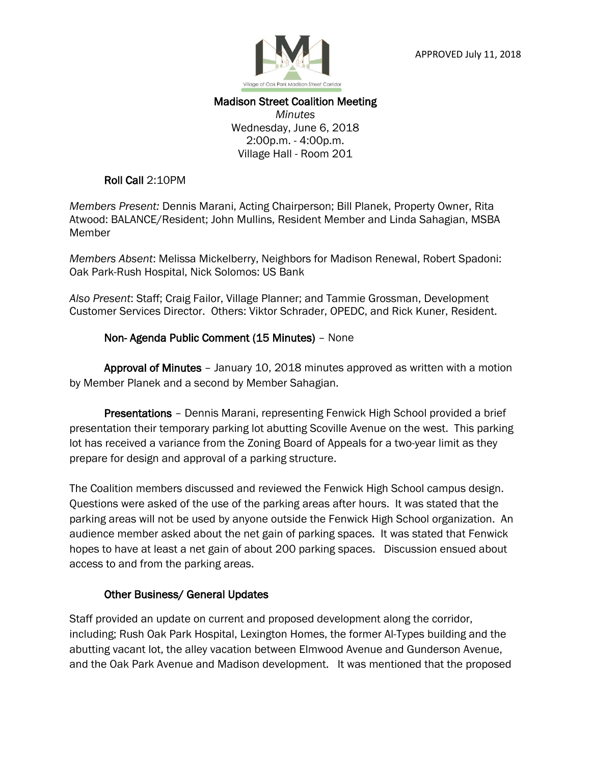

## Madison Street Coalition Meeting

*Minutes* Wednesday, June 6, 2018 2:00p.m. - 4:00p.m. Village Hall - Room 201

#### Roll Call 2:10PM

*Members Present:* Dennis Marani, Acting Chairperson; Bill Planek, Property Owner, Rita Atwood: BALANCE/Resident; John Mullins, Resident Member and Linda Sahagian, MSBA Member

*Members Absent*: Melissa Mickelberry, Neighbors for Madison Renewal, Robert Spadoni: Oak Park-Rush Hospital, Nick Solomos: US Bank

*Also Present*: Staff; Craig Failor, Village Planner; and Tammie Grossman, Development Customer Services Director. Others: Viktor Schrader, OPEDC, and Rick Kuner, Resident.

### Non- Agenda Public Comment (15 Minutes) – None

 Approval of Minutes – January 10, 2018 minutes approved as written with a motion by Member Planek and a second by Member Sahagian.

Presentations - Dennis Marani, representing Fenwick High School provided a brief presentation their temporary parking lot abutting Scoville Avenue on the west. This parking lot has received a variance from the Zoning Board of Appeals for a two-year limit as they prepare for design and approval of a parking structure.

The Coalition members discussed and reviewed the Fenwick High School campus design. Questions were asked of the use of the parking areas after hours. It was stated that the parking areas will not be used by anyone outside the Fenwick High School organization. An audience member asked about the net gain of parking spaces. It was stated that Fenwick hopes to have at least a net gain of about 200 parking spaces. Discussion ensued about access to and from the parking areas.

### Other Business/ General Updates

Staff provided an update on current and proposed development along the corridor, including; Rush Oak Park Hospital, Lexington Homes, the former Al-Types building and the abutting vacant lot, the alley vacation between Elmwood Avenue and Gunderson Avenue, and the Oak Park Avenue and Madison development. It was mentioned that the proposed